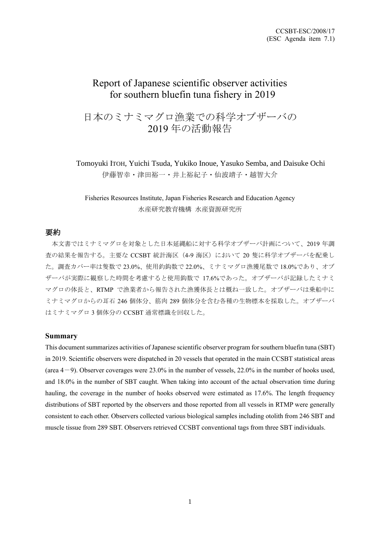# Report of Japanese scientific observer activities for southern bluefin tuna fishery in 2019

# 日本のミナミマグロ漁業での科学オブザーバの 2019 年の活動報告

Tomoyuki ITOH, Yuichi Tsuda, Yukiko Inoue, Yasuko Semba, and Daisuke Ochi 伊藤智幸・津田裕一・井上裕紀子・仙波靖子・越智大介

## Fisheries Resources Institute, Japan Fisheries Research and Education Agency 水産研究教育機構 水産資源研究所

### 要約

本文書ではミナミマグロを対象とした日本延縄船に対する科学オブザーバ計画について、2019 年調 査の結果を報告する。主要な CCSBT 統計海区(4-9 海区)において 20 隻に科学オブザーバを配乗し た。調査カバー率は隻数で 23.0%、使用釣鈎数で 22.0%、ミナミマグロ漁獲尾数で 18.0%であり、オブ ザーバが実際に観察した時間を考慮すると使用鈎数で 17.6%であった。オブザーバが記録したミナミ マグロの体長と、RTMP で漁業者から報告された漁獲体長とは概ね一致した。オブザーバは乗船中に ミナミマグロからの耳石 246 個体分、筋肉 289 個体分を含む各種の生物標本を採取した。オブザーバ はミナミマグロ 3 個体分の CCSBT 通常標識を回収した。

#### **Summary**

This document summarizes activities of Japanese scientific observer program for southern bluefin tuna (SBT) in 2019. Scientific observers were dispatched in 20 vessels that operated in the main CCSBT statistical areas (area  $4-9$ ). Observer coverages were 23.0% in the number of vessels, 22.0% in the number of hooks used, and 18.0% in the number of SBT caught. When taking into account of the actual observation time during hauling, the coverage in the number of hooks observed were estimated as 17.6%. The length frequency distributions of SBT reported by the observers and those reported from all vessels in RTMP were generally consistent to each other. Observers collected various biological samples including otolith from 246 SBT and muscle tissue from 289 SBT. Observers retrieved CCSBT conventional tags from three SBT individuals.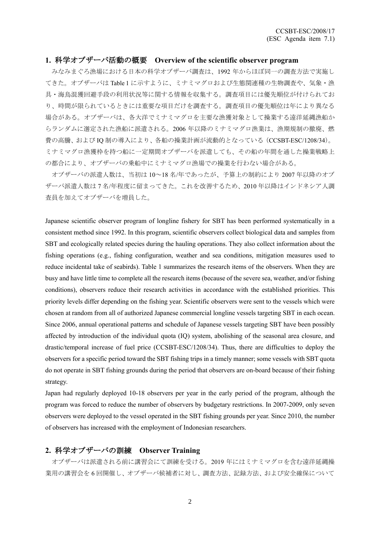## **1.** 科学オブザーバ活動の概要 **Overview of the scientific observer program**

みなみまぐろ漁場における日本の科学オブザーバ調査は、1992 年からほぼ同一の調査方法で実施し てきた。オブザーバは Table 1 に示すように、ミナミマグロおよび生態関連種の生物調査や、気象・漁 具・海鳥混獲回避手段の利用状況等に関する情報を収集する。調査項目には優先順位が付けられてお り、時間が限られているときには重要な項目だけを調査する。調査項目の優先順位は年により異なる 場合がある。オブザーバは、各大洋でミナミマグロを主要な漁獲対象として操業する遠洋延縄漁船か らランダムに選定された漁船に派遣される。2006 年以降のミナミマグロ漁業は、漁期規制の撤廃、燃 費の高騰、および IQ 制の導入により、各船の操業計画が流動的となっている(CCSBT-ESC/1208/34)。 ミナミマグロ漁獲枠を持つ船に一定期間オブザーバを派遣しても、その船の年間を通した操業戦略上 の都合により、オブザーバの乗船中にミナミマグロ漁場での操業を行わない場合がある。

オブザーバの派遣人数は、当初は 10~18 名/年であったが、予算上の制約により 2007 年以降のオブ ザーバ派遣人数は 7 名/年程度に留まってきた。これを改善するため、2010 年以降はインドネシア人調 査員を加えてオブザーバを増員した。

Japanese scientific observer program of longline fishery for SBT has been performed systematically in a consistent method since 1992. In this program, scientific observers collect biological data and samples from SBT and ecologically related species during the hauling operations. They also collect information about the fishing operations (e.g., fishing configuration, weather and sea conditions, mitigation measures used to reduce incidental take of seabirds). Table 1 summarizes the research items of the observers. When they are busy and have little time to complete all the research items (because of the severe sea, weather, and/or fishing conditions), observers reduce their research activities in accordance with the established priorities. This priority levels differ depending on the fishing year. Scientific observers were sent to the vessels which were chosen at random from all of authorized Japanese commercial longline vessels targeting SBT in each ocean. Since 2006, annual operational patterns and schedule of Japanese vessels targeting SBT have been possibly affected by introduction of the individual quota (IQ) system, abolishing of the seasonal area closure, and drastic/temporal increase of fuel price (CCSBT-ESC/1208/34). Thus, there are difficulties to deploy the observers for a specific period toward the SBT fishing trips in a timely manner; some vessels with SBT quota do not operate in SBT fishing grounds during the period that observers are on-board because of their fishing strategy.

Japan had regularly deployed 10-18 observers per year in the early period of the program, although the program was forced to reduce the number of observers by budgetary restrictions. In 2007-2009, only seven observers were deployed to the vessel operated in the SBT fishing grounds per year. Since 2010, the number of observers has increased with the employment of Indonesian researchers.

## **2.** 科学オブザーバの訓練 **Observer Training**

オブザーバは派遣される前に講習会にて訓練を受ける。2019 年にはミナミマグロを含む遠洋延縄操 業用の講習会を 6 回開催し、オブザーバ候補者に対し、調査方法、記録方法、および安全確保について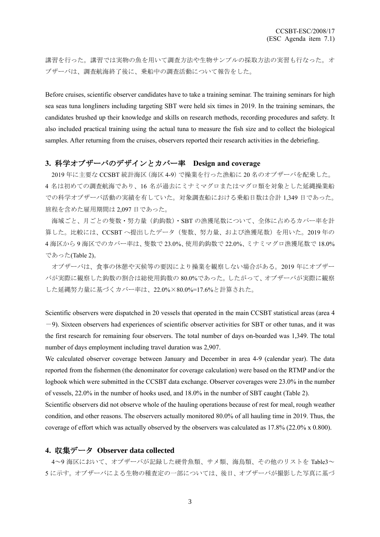講習を行った。講習では実物の魚を用いて調査方法や生物サンプルの採取方法の実習も行なった。オ ブザーバは、調査航海終了後に、乗船中の調査活動について報告をした。

Before cruises, scientific observer candidates have to take a training seminar. The training seminars for high sea seas tuna longliners including targeting SBT were held six times in 2019. In the training seminars, the candidates brushed up their knowledge and skills on research methods, recording procedures and safety. It also included practical training using the actual tuna to measure the fish size and to collect the biological samples. After returning from the cruises, observers reported their research activities in the debriefing.

### **3.** 科学オブザーバのデザインとカバー率 **Design and coverage**

2019 年に主要な CCSBT 統計海区(海区 4-9)で操業を行った漁船に 20 名のオブザーバを配乗した。 4 名は初めての調査航海であり、16 名が過去にミナミマグロまたはマグロ類を対象とした延縄操業船 での科学オブザーバ活動の実績を有していた。対象調査船における乗船日数は合計 1,349 日であった。 旅程を含めた雇用期間は 2,097 日であった。

海域ごと、月ごとの隻数・努力量(釣鈎数)・SBT の漁獲尾数について、全体に占めるカバー率を計 算した。比較には、CCSBT へ提出したデータ(隻数、努力量、および漁獲尾数)を用いた。2019 年の 4 海区から 9 海区でのカバー率は、隻数で 23.0%、使用釣鈎数で 22.0%、ミナミマグロ漁獲尾数で 18.0% であった(Table 2)。

オブザーバは、食事の休憩や天候等の要因により操業を観察しない場合がある。2019 年にオブザー バが実際に観察した鈎数の割合は総使用鈎数の 80.0%であった。したがって、オブザーバが実際に観察 した延縄努力量に基づくカバー率は、22.0%×80.0%=17.6%と計算された。

Scientific observers were dispatched in 20 vessels that operated in the main CCSBT statistical areas (area 4  $-9$ ). Sixteen observers had experiences of scientific observer activities for SBT or other tunas, and it was the first research for remaining four observers. The total number of days on-boarded was 1,349. The total number of days employment including travel duration was 2,907.

We calculated observer coverage between January and December in area 4-9 (calendar year). The data reported from the fishermen (the denominator for coverage calculation) were based on the RTMP and/or the logbook which were submitted in the CCSBT data exchange. Observer coverages were 23.0% in the number of vessels, 22.0% in the number of hooks used, and 18.0% in the number of SBT caught (Table 2).

Scientific observers did not observe whole of the hauling operations because of rest for meal, rough weather condition, and other reasons. The observers actually monitored 80.0% of all hauling time in 2019. Thus, the coverage of effort which was actually observed by the observers was calculated as 17.8% (22.0% x 0.800).

## **4.** 収集データ **Observer data collected**

4~9 海区において、オブザーバが記録した硬骨魚類、サメ類、海鳥類、その他のリストを Table3~ 5 に示す。オブザーバによる生物の種査定の一部については、後日、オブザーバが撮影した写真に基づ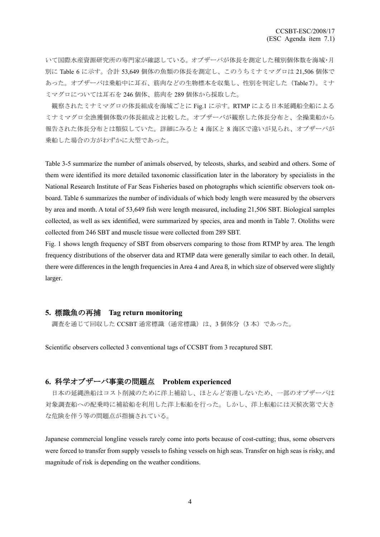いて国際水産資源研究所の専門家が確認している。オブザーバが体長を測定した種別個体数を海域・月 別に Table 6 に示す。合計 53,649 個体の魚類の体長を測定し、このうちミナミマグロは 21,506 個体で あった。オブザーバは乗船中に耳石、筋肉などの生物標本を収集し、性別を判定した(Table 7)。ミナ ミマグロについては耳石を 246 個体、筋肉を 289 個体から採取した。

観察されたミナミマグロの体長組成を海域ごとに Fig.1 に示す。RTMP による日本延縄船全船による ミナミマグロ全漁獲個体数の体長組成と比較した。オブザーバが観察した体長分布と、全操業船から 報告された体長分布とは類似していた。詳細にみると 4 海区と 8 海区で違いが見られ、オブザーバが 乗船した場合の方がわずかに大型であった。

Table 3-5 summarize the number of animals observed, by teleosts, sharks, and seabird and others. Some of them were identified its more detailed taxonomic classification later in the laboratory by specialists in the National Research Institute of Far Seas Fisheries based on photographs which scientific observers took onboard. Table 6 summarizes the number of individuals of which body length were measured by the observers by area and month. A total of 53,649 fish were length measured, including 21,506 SBT. Biological samples collected, as well as sex identified, were summarized by species, area and month in Table 7. Otoliths were collected from 246 SBT and muscle tissue were collected from 289 SBT.

Fig. 1 shows length frequency of SBT from observers comparing to those from RTMP by area. The length frequency distributions of the observer data and RTMP data were generally similar to each other. In detail, there were differences in the length frequencies in Area 4 and Area 8, in which size of observed were slightly larger.

### **5.** 標識魚の再捕 **Tag return monitoring**

調査を通じて回収した CCSBT 通常標識(通常標識)は、3個体分(3本)であった。

Scientific observers collected 3 conventional tags of CCSBT from 3 recaptured SBT.

## **6.** 科学オブザーバ事業の問題点 **Problem experienced**

日本の延縄漁船はコスト削減のために洋上補給し、ほとんど寄港しないため、一部のオブザーバは 対象調査船への配乗時に補給船を利用した洋上転船を行った。しかし、洋上転船には天候次第で大き な危険を伴う等の問題点が指摘されている。

Japanese commercial longline vessels rarely come into ports because of cost-cutting; thus, some observers were forced to transfer from supply vessels to fishing vessels on high seas. Transfer on high seas is risky, and magnitude of risk is depending on the weather conditions.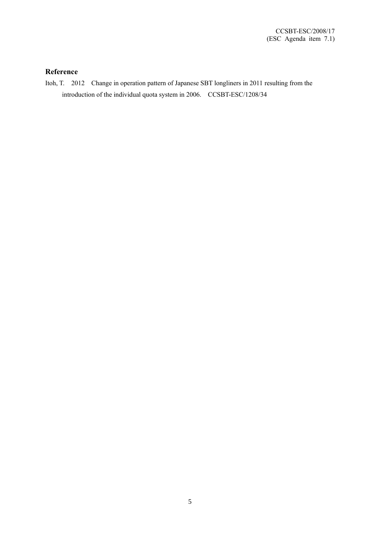## **Reference**

Itoh, T. 2012 Change in operation pattern of Japanese SBT longliners in 2011 resulting from the introduction of the individual quota system in 2006. CCSBT-ESC/1208/34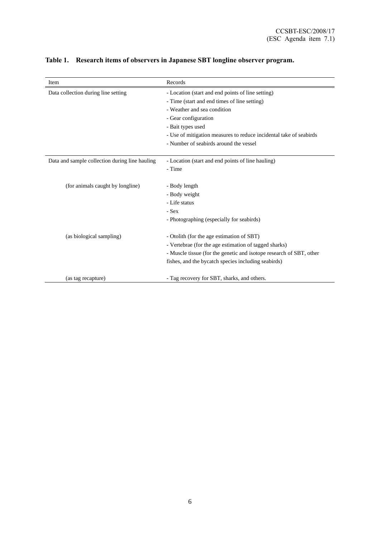| Item                                           | Records                                                             |
|------------------------------------------------|---------------------------------------------------------------------|
| Data collection during line setting            | - Location (start and end points of line setting)                   |
|                                                | - Time (start and end times of line setting)                        |
|                                                | - Weather and sea condition                                         |
|                                                | - Gear configuration                                                |
|                                                | - Bait types used                                                   |
|                                                | - Use of mitigation measures to reduce incidental take of seabirds  |
|                                                | - Number of seabirds around the vessel                              |
| Data and sample collection during line hauling | - Location (start and end points of line hauling)                   |
|                                                | - Time                                                              |
|                                                |                                                                     |
| (for animals caught by longline)               | - Body length                                                       |
|                                                | - Body weight                                                       |
|                                                | - Life status                                                       |
|                                                | - Sex                                                               |
|                                                | - Photographing (especially for seabirds)                           |
| (as biological sampling)                       | - Otolith (for the age estimation of SBT)                           |
|                                                | - Vertebrae (for the age estimation of tagged sharks)               |
|                                                | - Muscle tissue (for the genetic and isotope research of SBT, other |
|                                                | fishes, and the bycatch species including seabirds)                 |
|                                                |                                                                     |
| (as tag recapture)                             | - Tag recovery for SBT, sharks, and others.                         |

# **Table 1. Research items of observers in Japanese SBT longline observer program.**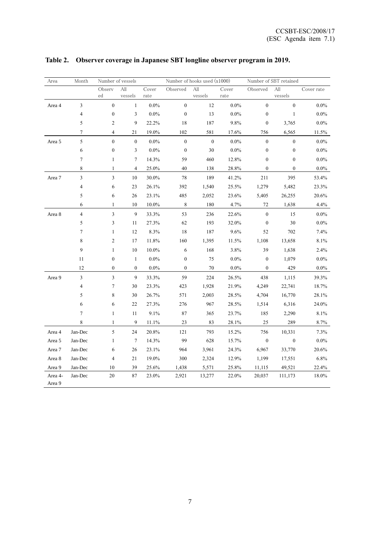| Area    | Month                    |                         | Number of vessels |                       | Number of hooks used (x1000) |                  |         | Number of SBT retained |                  |            |
|---------|--------------------------|-------------------------|-------------------|-----------------------|------------------------------|------------------|---------|------------------------|------------------|------------|
|         |                          | Observ                  | All               | Cover                 | Observed                     | All              | Cover   | Observed               | All              | Cover rate |
|         |                          | ed                      | vessels           | $\operatorname{rate}$ |                              | vessels          | rate    |                        | vessels          |            |
| Area 4  | $\mathfrak{Z}$           | $\boldsymbol{0}$        | $\mathbf{1}$      | $0.0\%$               | $\boldsymbol{0}$             | 12               | $0.0\%$ | $\boldsymbol{0}$       | $\boldsymbol{0}$ | $0.0\%$    |
|         | 4                        | $\boldsymbol{0}$        | 3                 | $0.0\%$               | $\boldsymbol{0}$             | 13               | $0.0\%$ | $\boldsymbol{0}$       | $\mathbf{1}$     | $0.0\%$    |
|         | 5                        | $\boldsymbol{2}$        | 9                 | 22.2%                 | 18                           | 187              | 9.8%    | $\boldsymbol{0}$       | 3,765            | $0.0\%$    |
|         | $\boldsymbol{7}$         | $\overline{4}$          | 21                | 19.0%                 | 102                          | 581              | 17.6%   | 756                    | 6,565            | 11.5%      |
| Area 5  | 5                        | $\boldsymbol{0}$        | $\boldsymbol{0}$  | $0.0\%$               | $\boldsymbol{0}$             | $\boldsymbol{0}$ | $0.0\%$ | $\boldsymbol{0}$       | $\boldsymbol{0}$ | $0.0\%$    |
|         | 6                        | $\boldsymbol{0}$        | 3                 | $0.0\%$               | $\boldsymbol{0}$             | 30               | $0.0\%$ | $\boldsymbol{0}$       | $\boldsymbol{0}$ | $0.0\%$    |
|         | $\tau$                   | $\mathbf{1}$            | $\tau$            | 14.3%                 | 59                           | 460              | 12.8%   | $\boldsymbol{0}$       | $\boldsymbol{0}$ | $0.0\%$    |
|         | 8                        | $\mathbf{1}$            | $\overline{4}$    | 25.0%                 | 40                           | 138              | 28.8%   | $\boldsymbol{0}$       | $\mathbf{0}$     | $0.0\%$    |
| Area 7  | $\mathfrak{Z}$           | $\overline{3}$          | $10\,$            | $30.0\%$              | $78\,$                       | 189              | 41.2%   | 211                    | 395              | 53.4%      |
|         | $\overline{\mathcal{L}}$ | 6                       | 23                | 26.1%                 | 392                          | 1,540            | 25.5%   | 1,279                  | 5,482            | 23.3%      |
|         | 5                        | 6                       | $26\,$            | 23.1%                 | 485                          | 2,052            | 23.6%   | 5,405                  | 26,255           | 20.6%      |
|         | 6                        | $\,1$                   | 10                | 10.0%                 | $\,8\,$                      | 180              | 4.7%    | 72                     | 1,638            | 4.4%       |
| Area 8  | $\overline{\mathbf{4}}$  | $\overline{\mathbf{3}}$ | $\overline{9}$    | 33.3%                 | 53                           | 236              | 22.6%   | $\boldsymbol{0}$       | 15               | $0.0\%$    |
|         | 5                        | $\mathfrak{Z}$          | 11                | 27.3%                 | 62                           | 193              | 32.0%   | $\boldsymbol{0}$       | $30\,$           | $0.0\%$    |
|         | $\boldsymbol{7}$         | $\mathbf{1}$            | $12\,$            | 8.3%                  | $18\,$                       | 187              | 9.6%    | 52                     | 702              | 7.4%       |
|         | 8                        | $\boldsymbol{2}$        | 17                | 11.8%                 | 160                          | 1,395            | 11.5%   | 1,108                  | 13,658           | 8.1%       |
|         | 9                        | $\mathbf{1}$            | 10                | 10.0%                 | 6                            | 168              | 3.8%    | 39                     | 1,638            | 2.4%       |
|         | 11                       | $\boldsymbol{0}$        | $\mathbf{1}$      | $0.0\%$               | $\boldsymbol{0}$             | 75               | $0.0\%$ | $\boldsymbol{0}$       | 1,079            | $0.0\%$    |
|         | 12                       | $\boldsymbol{0}$        | $\mathbf{0}$      | $0.0\%$               | $\mathbf{0}$                 | 70               | $0.0\%$ | $\mathbf{0}$           | 429              | $0.0\%$    |
| Area 9  | $\mathfrak{Z}$           | $\overline{3}$          | 9                 | 33.3%                 | 59                           | 224              | 26.5%   | 438                    | 1,115            | 39.3%      |
|         | $\overline{\mathcal{A}}$ | $\boldsymbol{7}$        | 30                | 23.3%                 | 423                          | 1,928            | 21.9%   | 4,249                  | 22,741           | 18.7%      |
|         | 5                        | $\,$ $\,$               | 30                | 26.7%                 | 571                          | 2,003            | 28.5%   | 4,704                  | 16,770           | 28.1%      |
|         | 6                        | 6                       | 22                | 27.3%                 | 276                          | 967              | 28.5%   | 1,514                  | 6,316            | 24.0%      |
|         | $\boldsymbol{7}$         | $\mathbf{1}$            | 11                | 9.1%                  | 87                           | 365              | 23.7%   | 185                    | 2,290            | 8.1%       |
|         | $\,8\,$                  | $\mathbf{1}$            | 9                 | 11.1%                 | 23                           | 83               | 28.1%   | 25                     | 289              | 8.7%       |
| Area 4  | Jan-Dec                  | $\sqrt{5}$              | 24                | 20.8%                 | 121                          | 793              | 15.2%   | 756                    | 10,331           | 7.3%       |
| Area 5  | Jan-Dec                  | $\mathbf{1}$            | $\tau$            | 14.3%                 | 99                           | 628              | 15.7%   | $\boldsymbol{0}$       | $\boldsymbol{0}$ | $0.0\%$    |
| Area 7  | Jan-Dec                  | 6                       | 26                | 23.1%                 | 964                          | 3,961            | 24.3%   | 6,967                  | 33,770           | 20.6%      |
| Area 8  | Jan-Dec                  | 4                       | 21                | 19.0%                 | 300                          | 2,324            | 12.9%   | 1,199                  | 17,551           | 6.8%       |
| Area 9  | Jan-Dec                  | 10                      | 39                | 25.6%                 | 1,438                        | 5,571            | 25.8%   | 11,115                 | 49,521           | 22.4%      |
| Area 4- | Jan-Dec                  | 20                      | 87                | 23.0%                 | 2,921                        | 13,277           | 22.0%   | 20,037                 | 111,173          | 18.0%      |
| Area 9  |                          |                         |                   |                       |                              |                  |         |                        |                  |            |

# **Table 2. Observer coverage in Japanese SBT longline observer program in 2019.**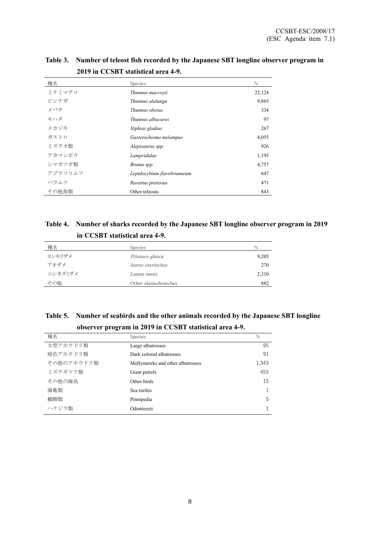| 種名      | Species                    | N      |
|---------|----------------------------|--------|
| ミナミマグロ  | Thunnus maccovii           | 22,124 |
| ビンナガ    | Thunnus alalunga           | 9,865  |
| メバチ     | Thunnus obesus             | 334    |
| キハダ     | Thunnus albacares          | 97     |
| メカジキ    | Xiphias gladius            | 267    |
| ガストロ    | Gasterochisma melampus     | 4,055  |
| ミズウオ類   | Alepisaurus spp.           | 926    |
| アカマンボウ  | Lamprididae                | 1,195  |
| シマガツオ類  | Brama spp.                 | 4,757  |
| アブラソコムツ | Lepidocybium flavobrunneum | 647    |
| バラムツ    | Ruvettus pretiosus         | 471    |
| その他魚類   | Other teleosts             | 843    |

**Table 3. Number of teleost fish recorded by the Japanese SBT longline observer program in 2019 in CCSBT statistical area 4-9.**

## **Table 4. Number of sharks recorded by the Japanese SBT longline observer program in 2019 in CCSBT statistical area 4-9.**

| 種名      | <b>Species</b>       | N     |
|---------|----------------------|-------|
| ヨシキリザメ  | Prionace glauca      | 9,205 |
| アオザメ    | Isurus oxyrinchus    | 270   |
| ニシネズミザメ | Lamna nasus          | 2,310 |
| その他     | Other elasmobranches | 882   |

**Table 5. Number of seabirds and the other animals recorded by the Japanese SBT longline observer program in 2019 in CCSBT statistical area 4-9.**

| 種名         | Species                          | N     |
|------------|----------------------------------|-------|
| 大型アホウドリ類   | Large albatrosses                | 95    |
| 暗色アホウドリ類   | Dark colored albatrosses         | 91    |
| その他のアホウドリ類 | Mollymawks and other albatrosses | 1,343 |
| ミズナギドリ類    | Giant petrels                    | 455   |
| その他の海鳥     | Other birds                      | 15    |
| 海亀類        | Sea turtles                      |       |
| 鰭脚類        | Pinnipedia                       | 5     |
| ハクジラ類      | Odontoceti                       |       |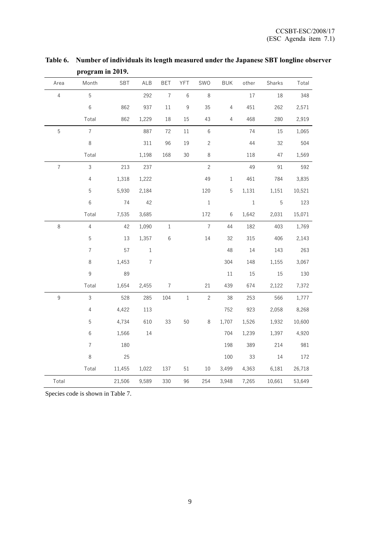| Area             | Month          | SBT    | ALB              | <b>BET</b>     | YFT            | SWO            | <b>BUK</b>     | other   | Sharks      | Total  |
|------------------|----------------|--------|------------------|----------------|----------------|----------------|----------------|---------|-------------|--------|
| $\overline{4}$   | 5              |        | 292              | $\overline{7}$ | $\,6\,$        | $\,8\,$        |                | 17      | 18          | 348    |
|                  | $6\,$          | 862    | 937              | $11\,$         | $\overline{9}$ | 35             | $\overline{4}$ | 451     | 262         | 2,571  |
|                  | Total          | 862    | 1,229            | 18             | $15\,$         | 43             | $\overline{4}$ | 468     | 280         | 2,919  |
| $\sqrt{5}$       | $\overline{7}$ |        | 887              | 72             | 11             | $\,6\,$        |                | 74      | 15          | 1,065  |
|                  | $\,8\,$        |        | 311              | 96             | 19             | $\overline{c}$ |                | $44$    | 32          | 504    |
|                  | Total          |        | 1,198            | 168            | 30             | $\,8\,$        |                | 118     | 47          | 1,569  |
| $\boldsymbol{7}$ | $\mathsf 3$    | 213    | 237              |                |                | $\sqrt{2}$     |                | 49      | 91          | 592    |
|                  | $\overline{4}$ | 1,318  | 1,222            |                |                | 49             | $\,1$          | 461     | 784         | 3,835  |
|                  | 5              | 5,930  | 2,184            |                |                | 120            | 5              | 1,131   | 1,151       | 10,521 |
|                  | $\,6$          | 74     | 42               |                |                | $\,1\,$        |                | $\,1\,$ | $\mathbf 5$ | 123    |
|                  | Total          | 7,535  | 3,685            |                |                | 172            | $6\,$          | 1,642   | 2,031       | 15,071 |
| $\,8\,$          | $\sqrt{4}$     | 42     | 1,090            | $1\,$          |                | $\sqrt{ }$     | $44$           | 182     | 403         | 1,769  |
|                  | 5              | 13     | 1,357            | $\,6$          |                | 14             | 32             | 315     | 406         | 2,143  |
|                  | $\overline{7}$ | 57     | $\mathbf{1}$     |                |                |                | 48             | 14      | 143         | 263    |
|                  | $\,8\,$        | 1,453  | $\boldsymbol{7}$ |                |                |                | 304            | 148     | 1,155       | 3,067  |
|                  | $\mathsf 9$    | 89     |                  |                |                |                | $11\,$         | 15      | 15          | 130    |
|                  | Total          | 1,654  | 2,455            | $\overline{7}$ |                | $21\,$         | 439            | 674     | 2,122       | 7,372  |
| $\mathsf g$      | 3              | 528    | 285              | 104            | $\,1\,$        | $\sqrt{2}$     | 38             | 253     | 566         | 1,777  |
|                  | $\sqrt{4}$     | 4,422  | 113              |                |                |                | 752            | 923     | 2,058       | 8,268  |
|                  | 5              | 4,734  | 610              | 33             | 50             | $\,8\,$        | 1,707          | 1,526   | 1,932       | 10,600 |
|                  | $\,6\,$        | 1,566  | 14               |                |                |                | 704            | 1,239   | 1,397       | 4,920  |
|                  | $\overline{7}$ | 180    |                  |                |                |                | 198            | 389     | 214         | 981    |
|                  | $\,8\,$        | 25     |                  |                |                |                | 100            | 33      | 14          | 172    |
|                  | Total          | 11,455 | 1,022            | 137            | 51             | $10\,$         | 3,499          | 4,363   | 6,181       | 26,718 |
| Total            |                | 21,506 | 9,589            | 330            | 96             | 254            | 3,948          | 7,265   | 10,661      | 53,649 |

**Table 6. Number of individuals its length measured under the Japanese SBT longline observer program in 2019.**

Species code is shown in Table 7.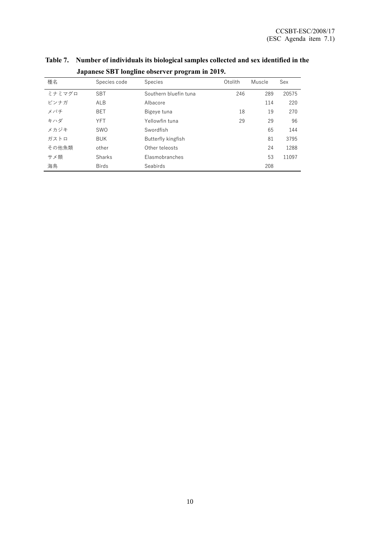| 種名     | Species code | Species               | Otolith | Muscle | Sex   |
|--------|--------------|-----------------------|---------|--------|-------|
| ミナミマグロ | <b>SBT</b>   | Southern bluefin tuna | 246     | 289    | 20575 |
| ビンナガ   | ALB          | Albacore              |         | 114    | 220   |
| メバチ    | <b>BET</b>   | Bigeye tuna           | 18      | 19     | 270   |
| キハダ    | <b>YFT</b>   | Yellowfin tuna        | 29      | 29     | 96    |
| メカジキ   | <b>SWO</b>   | Swordfish             |         | 65     | 144   |
| ガストロ   | <b>BUK</b>   | Butterfly kingfish    |         | 81     | 3795  |
| その他魚類  | other        | Other teleosts        |         | 24     | 1288  |
| サメ類    | Sharks       | Elasmobranches        |         | 53     | 11097 |
| 海鳥     | <b>Birds</b> | Seabirds              |         | 208    |       |

**Table 7. Number of individuals its biological samples collected and sex identified in the Japanese SBT longline observer program in 2019.**